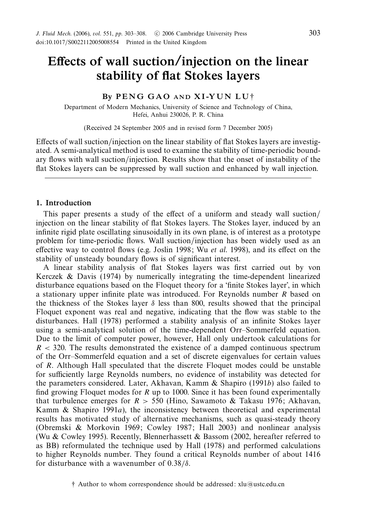# *Effects of wall suction/injection on the linear stability of flat Stokes layers*

# *By P E N G G A O AND X I -Y U N L U* †

Department of Modern Mechanics, University of Science and Technology of China, Hefei, Anhui 230026, P. R. China

(Received 24 September 2005 and in revised form 7 December 2005)

Effects of wall suction/injection on the linear stability of flat Stokes layers are investigated. A semi-analytical method is used to examine the stability of time-periodic boundary flows with wall suction/injection. Results show that the onset of instability of the flat Stokes layers can be suppressed by wall suction and enhanced by wall injection.

#### *1. Introduction*

This paper presents a study of the effect of a uniform and steady wall suction/ injection on the linear stability of flat Stokes layers. The Stokes layer, induced by an infinite rigid plate oscillating sinusoidally in its own plane, is of interest as a prototype problem for time-periodic flows. Wall suction/injection has been widely used as an effective way to control flows (e.g. Joslin 1998; Wu *et al.* 1998), and its effect on the stability of unsteady boundary flows is of significant interest.

A linear stability analysis of flat Stokes layers was first carried out by von Kerczek & Davis (1974) by numerically integrating the time-dependent linearized disturbance equations based on the Floquet theory for a 'finite Stokes layer', in which a stationary upper infinite plate was introduced. For Reynolds number *R* based on the thickness of the Stokes layer  $\delta$  less than 800, results showed that the principal Floquet exponent was real and negative, indicating that the flow was stable to the disturbances. Hall (1978) performed a stability analysis of an infinite Stokes layer using a semi-analytical solution of the time-dependent Orr–Sommerfeld equation. Due to the limit of computer power, however, Hall only undertook calculations for *R <* 320. The results demonstrated the existence of a damped continuous spectrum of the Orr–Sommerfeld equation and a set of discrete eigenvalues for certain values of *R*. Although Hall speculated that the discrete Floquet modes could be unstable for sufficiently large Reynolds numbers, no evidence of instability was detected for the parameters considered. Later, Akhavan, Kamm & Shapiro (1991*b*) also failed to find growing Floquet modes for *R* up to 1000. Since it has been found experimentally that turbulence emerges for  $R > 550$  (Hino, Sawamoto & Takasu 1976; Akhavan, Kamm & Shapiro 1991*a*), the inconsistency between theoretical and experimental results has motivated study of alternative mechanisms, such as quasi-steady theory (Obremski & Morkovin 1969; Cowley 1987; Hall 2003) and nonlinear analysis (Wu & Cowley 1995). Recently, Blennerhassett & Bassom (2002, hereafter referred to as BB) reformulated the technique used by Hall (1978) and performed calculations to higher Reynolds number. They found a critical Reynolds number of about 1416 for disturbance with a wavenumber of 0*.*38*/δ*.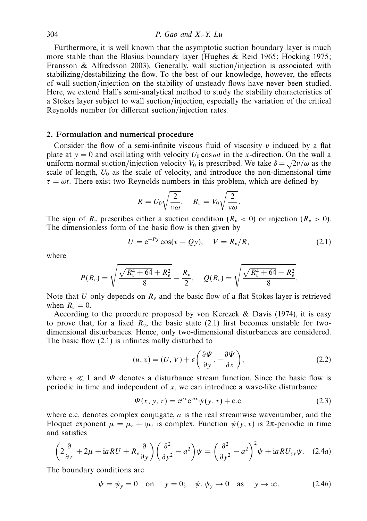## 304 P. Gao and X.-Y. Lu

Furthermore, it is well known that the asymptotic suction boundary layer is much more stable than the Blasius boundary layer (Hughes & Reid 1965; Hocking 1975; Fransson & Alfredsson 2003). Generally, wall suction/injection is associated with stabilizing/destabilizing the flow. To the best of our knowledge, however, the effects of wall suction/injection on the stability of unsteady flows have never been studied. Here, we extend Hall's semi-analytical method to study the stability characteristics of a Stokes layer subject to wall suction/injection, especially the variation of the critical Reynolds number for different suction/injection rates.

## *2. Formulation and numerical procedure*

Consider the flow of a semi-infinite viscous fluid of viscosity *ν* induced by a flat plate at  $y = 0$  and oscillating with velocity  $U_0 \cos \omega t$  in the *x*-direction. On the wall a uniform normal suction/injection velocity  $V_0$  is prescribed. We take  $\delta = \sqrt{2v/\omega}$  as the scale of length,  $U_0$  as the scale of velocity, and introduce the non-dimensional time  $\tau = \omega t$ . There exist two Reynolds numbers in this problem, which are defined by

$$
R = U_0 \sqrt{\frac{2}{\nu \omega}}, \quad R_v = V_0 \sqrt{\frac{2}{\nu \omega}}.
$$

The sign of  $R_v$  prescribes either a suction condition ( $R_v$  < 0) or injection ( $R_v$  > 0). The dimensionless form of the basic flow is then given by

$$
U = e^{-Py}\cos(\tau - Qy), \quad V = R_v/R,
$$
\n(2.1)

where

$$
P(R_v) = \sqrt{\frac{\sqrt{R_v^4 + 64} + R_v^2}{8}} - \frac{R_v}{2}, \quad Q(R_v) = \sqrt{\frac{\sqrt{R_v^4 + 64} - R_v^2}{8}}.
$$

Note that  $U$  only depends on  $R<sub>v</sub>$  and the basic flow of a flat Stokes layer is retrieved when  $R_v = 0$ .

According to the procedure proposed by von Kerczek & Davis (1974), it is easy to prove that, for a fixed  $R_v$ , the basic state (2.1) first becomes unstable for twodimensional disturbances. Hence, only two-dimensional disturbances are considered. The basic flow (2.1) is infinitesimally disturbed to

$$
(u, v) = (U, V) + \epsilon \left( \frac{\partial \Psi}{\partial y}, -\frac{\partial \Psi}{\partial x} \right),\tag{2.2}
$$

where  $\epsilon \ll 1$  and *Ψ* denotes a disturbance stream function. Since the basic flow is periodic in time and independent of *x*, we can introduce a wave-like disturbance

$$
\Psi(x, y, \tau) = e^{\mu \tau} e^{iax} \psi(y, \tau) + \text{c.c.}
$$
\n(2.3)

where c*.*c*.* denotes complex conjugate, *a* is the real streamwise wavenumber, and the Floquet exponent  $\mu = \mu_r + i\mu_i$  is complex. Function  $\psi(y, \tau)$  is  $2\pi$ -periodic in time and satisfies

$$
\left(2\frac{\partial}{\partial\tau} + 2\mu + iaRU + R_v\frac{\partial}{\partial y}\right)\left(\frac{\partial^2}{\partial y^2} - a^2\right)\psi = \left(\frac{\partial^2}{\partial y^2} - a^2\right)^2\psi + iaRU_{yy}\psi. \quad (2.4a)
$$

The boundary conditions are

$$
\psi = \psi_y = 0 \quad \text{on} \quad y = 0; \quad \psi, \psi_y \to 0 \quad \text{as} \quad y \to \infty. \tag{2.4b}
$$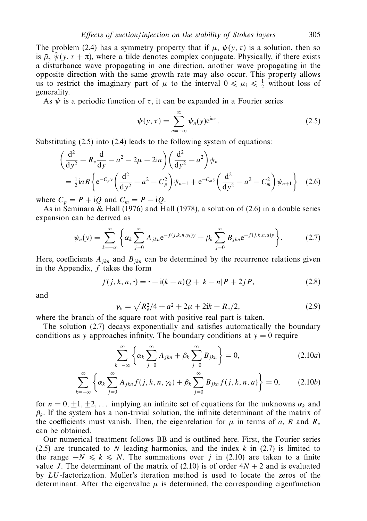The problem (2.4) has a symmetry property that if  $\mu$ ,  $\psi(y, \tau)$  is a solution, then so is  $\tilde{\mu}$ ,  $\tilde{\psi}(y, \tau + \pi)$ , where a tilde denotes complex conjugate. Physically, if there exists a disturbance wave propagating in one direction, another wave propagating in the opposite direction with the same growth rate may also occur. This property allows us to restrict the imaginary part of  $\mu$  to the interval  $0 \le \mu_i \le \frac{1}{2}$  without loss of generality.

As  $\psi$  is a periodic function of  $\tau$ , it can be expanded in a Fourier series

$$
\psi(y,\tau) = \sum_{n=-\infty}^{\infty} \psi_n(y) e^{in\tau}.
$$
\n(2.5)

Substituting  $(2.5)$  into  $(2.4)$  leads to the following system of equations:

$$
\begin{aligned}\n&\left(\frac{\mathrm{d}^2}{\mathrm{d}y^2} - R_v \frac{\mathrm{d}}{\mathrm{d}y} - a^2 - 2\mu - 2\mathrm{i}n\right) \left(\frac{\mathrm{d}^2}{\mathrm{d}y^2} - a^2\right) \psi_n \\
&= \frac{1}{2} i a R \left\{ e^{-C_p y} \left(\frac{\mathrm{d}^2}{\mathrm{d}y^2} - a^2 - C_p^2\right) \psi_{n-1} + e^{-C_m y} \left(\frac{\mathrm{d}^2}{\mathrm{d}y^2} - a^2 - C_m^2\right) \psi_{n+1} \right\} \quad (2.6)\n\end{aligned}
$$

where  $C_p = P + iQ$  and  $C_m = P - iQ$ .

As in Seminara & Hall (1976) and Hall (1978), a solution of (2.6) in a double series expansion can be derived as

$$
\psi_n(y) = \sum_{k=-\infty}^{\infty} \left\{ \alpha_k \sum_{j=0}^{\infty} A_{jkn} e^{-f(j,k,n,\gamma_k)y} + \beta_k \sum_{j=0}^{\infty} B_{jkn} e^{-f(j,k,n,a)y} \right\}.
$$
 (2.7)

Here, coefficients  $A_{ikn}$  and  $B_{ikn}$  can be determined by the recurrence relations given in the Appendix, *f* takes the form

$$
f(j,k,n,\cdot) = \cdot -i(k-n)Q + |k-n|P + 2jP,\tag{2.8}
$$

and

$$
\gamma_k = \sqrt{R_v^2/4 + a^2 + 2\mu + 2ik} - R_v/2,
$$
\n(2.9)

where the branch of the square root with positive real part is taken.

The solution (2.7) decays exponentially and satisfies automatically the boundary conditions as *y* approaches infinity. The boundary conditions at  $y = 0$  require

$$
\sum_{k=-\infty}^{\infty} \left\{ \alpha_k \sum_{j=0}^{\infty} A_{jkn} + \beta_k \sum_{j=0}^{\infty} B_{jkn} \right\} = 0, \qquad (2.10a)
$$

$$
\sum_{k=-\infty}^{\infty} \left\{ \alpha_k \sum_{j=0}^{\infty} A_{jkn} f(j,k,n,\gamma_k) + \beta_k \sum_{j=0}^{\infty} B_{jkn} f(j,k,n,a) \right\} = 0, \quad (2.10b)
$$

for  $n = 0, \pm 1, \pm 2, \ldots$  implying an infinite set of equations for the unknowns  $\alpha_k$  and  $\beta_k$ . If the system has a non-trivial solution, the infinite determinant of the matrix of the coefficients must vanish. Then, the eigenrelation for  $\mu$  in terms of *a*, *R* and  $R_v$ can be obtained.

Our numerical treatment follows BB and is outlined here. First, the Fourier series (2.5) are truncated to *N* leading harmonics, and the index *k* in (2.7) is limited to the range  $-N \le k \le N$ . The summations over *j* in (2.10) are taken to a finite value *J*. The determinant of the matrix of (2.10) is of order  $4N + 2$  and is evaluated by *LU*-factorization. Muller's iteration method is used to locate the zeros of the determinant. After the eigenvalue  $\mu$  is determined, the corresponding eigenfunction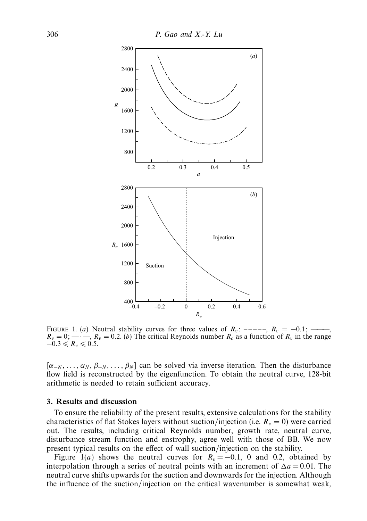

FIGURE 1. (*a*) Neutral stability curves for three values of  $R_v$ : –––––,  $R_v = -0.1$ ; —  $R_v = 0;$  — • —,  $R_v = 0.2$ . (*b*) The critical Reynolds number  $R_c$  as a function of  $R_v$  in the range  $-0.3 \le R_v \le 0.5$ .

 $[\alpha_{-N}, \ldots, \alpha_{N}, \beta_{-N}, \ldots, \beta_{N}]$  can be solved via inverse iteration. Then the disturbance flow field is reconstructed by the eigenfunction. To obtain the neutral curve, 128-bit arithmetic is needed to retain sufficient accuracy.

## *3. Results and discussion*

To ensure the reliability of the present results, extensive calculations for the stability characteristics of flat Stokes layers without suction/injection (i.e.  $R_v = 0$ ) were carried out. The results, including critical Reynolds number, growth rate, neutral curve, disturbance stream function and enstrophy, agree well with those of BB. We now present typical results on the effect of wall suction/injection on the stability.

Figure 1(a) shows the neutral curves for  $R_v = -0.1$ , 0 and 0.2, obtained by interpolation through a series of neutral points with an increment of  $\Delta a = 0.01$ . The neutral curve shifts upwards for the suction and downwards for the injection. Although the influence of the suction/injection on the critical wavenumber is somewhat weak,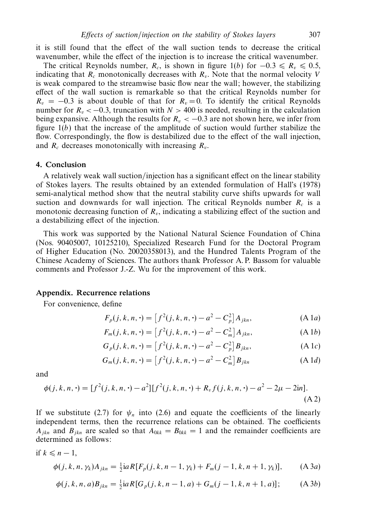it is still found that the effect of the wall suction tends to decrease the critical wavenumber, while the effect of the injection is to increase the critical wavenumber.

The critical Reynolds number,  $R_c$ , is shown in figure 1(b) for  $-0.3 \le R_v \le 0.5$ , indicating that  $R_c$  monotonically decreases with  $R_v$ . Note that the normal velocity *V* is weak compared to the streamwise basic flow near the wall; however, the stabilizing effect of the wall suction is remarkable so that the critical Reynolds number for  $R_v = -0.3$  is about double of that for  $R_v = 0$ . To identify the critical Reynolds number for  $R_v < -0.3$ , truncation with  $N > 400$  is needed, resulting in the calculation being expansive. Although the results for  $R_v < -0.3$  are not shown here, we infer from figure  $1(b)$  that the increase of the amplitude of suction would further stabilize the flow. Correspondingly, the flow is destabilized due to the effect of the wall injection, and *Rc* decreases monotonically with increasing *Rv*.

## *4. Conclusion*

A relatively weak wall suction/injection has a significant effect on the linear stability of Stokes layers. The results obtained by an extended formulation of Hall's (1978) semi-analytical method show that the neutral stability curve shifts upwards for wall suction and downwards for wall injection. The critical Reynolds number  $R_c$  is a monotonic decreasing function of  $R_v$ , indicating a stabilizing effect of the suction and a destabilizing effect of the injection.

This work was supported by the National Natural Science Foundation of China (Nos. 90405007, 10125210), Specialized Research Fund for the Doctoral Program of Higher Education (No. 20020358013), and the Hundred Talents Program of the Chinese Academy of Sciences. The authors thank Professor A. P. Bassom for valuable comments and Professor J.-Z. Wu for the improvement of this work.

#### *Appendix. Recurrence relations*

For convenience, define

$$
F_p(j, k, n, \cdot) = \left[ f^2(j, k, n, \cdot) - a^2 - C_p^2 \right] A_{jkn}, \tag{A1a}
$$

$$
F_m(j, k, n, \cdot) = [f^2(j, k, n, \cdot) - a^2 - C_m^2] A_{jkn},
$$
 (A 1b)

$$
G_p(j, k, n, \cdot) = \left[ f^2(j, k, n, \cdot) - a^2 - C_p^2 \right] B_{jkn}, \tag{A1c}
$$

$$
G_m(j, k, n, \cdot) = [f^2(j, k, n, \cdot) - a^2 - C_m^2] B_{jkn}
$$
 (A 1*d*)

and

$$
\phi(j,k,n,\cdot) = [f^2(j,k,n,\cdot) - a^2][f^2(j,k,n,\cdot) + R_v f(j,k,n,\cdot) - a^2 - 2\mu - 2\text{in}].
$$
\n(A2)

If we substitute (2.7) for  $\psi_n$  into (2.6) and equate the coefficients of the linearly independent terms, then the recurrence relations can be obtained. The coefficients  $A_{jkn}$  and  $B_{jkn}$  are scaled so that  $A_{0kk} = B_{0kk} = 1$  and the remainder coefficients are determined as follows:

if 
$$
k \le n-1
$$
,  
\n
$$
\phi(j,k,n,\gamma_k)A_{jkn} = \frac{1}{2}iaR[F_p(j,k,n-1,\gamma_k) + F_m(j-1,k,n+1,\gamma_k)],
$$
\n(A 3*a*)

$$
\phi(j,k,n,a)B_{jkn} = \frac{1}{2}iaR[G_p(j,k,n-1,a) + G_m(j-1,k,n+1,a)];
$$
 (A 3b)